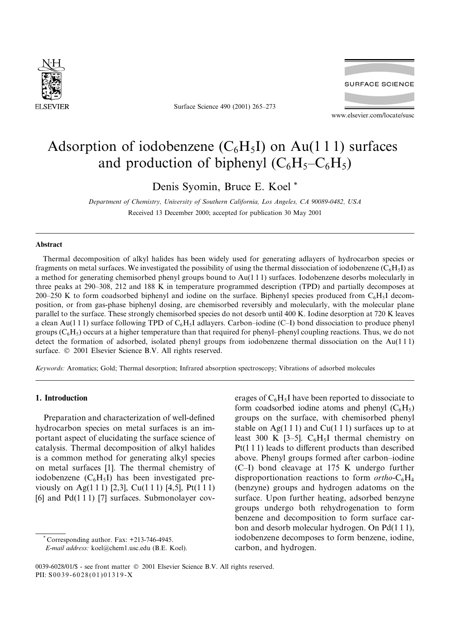

Surface Science 490 (2001) 265-273



www.elsevier.com/locate/susc

# Adsorption of iodobenzene  $(C_6H_5I)$  on Au(111) surfaces and production of biphenyl  $(C_6H_5-C_6H_5)$

Denis Syomin, Bruce E. Koel\*

Department of Chemistry, University of Southern California, Los Angeles, CA 90089-0482, USA Received 13 December 2000; accepted for publication 30 May 2001

#### **Abstract**

Thermal decomposition of alkyl halides has been widely used for generating adlayers of hydrocarbon species or fragments on metal surfaces. We investigated the possibility of using the thermal dissociation of iodobenzene  $(C_6H_5I)$  as a method for generating chemisorbed phenyl groups bound to  $Au(111)$  surfaces. Iodobenzene desorbs molecularly in three peaks at 290–308, 212 and 188 K in temperature programmed description (TPD) and partially decomposes at 200–250 K to form coadsorbed biphenyl and iodine on the surface. Biphenyl species produced from  $C_6H_5I$  decomposition, or from gas-phase biphenyl dosing, are chemisorbed reversibly and molecularly, with the molecular plane parallel to the surface. These strongly chemisorbed species do not desorb until 400 K. Iodine desorption at 720 K leaves a clean Au(111) surface following TPD of  $C_6H_5I$  adlayers. Carbon–iodine (C–I) bond dissociation to produce phenyl groups  $(C_6H_5)$  occurs at a higher temperature than that required for phenyl-phenyl coupling reactions. Thus, we do not detect the formation of adsorbed, isolated phenyl groups from iodobenzene thermal dissociation on the  $Au(111)$ surface. © 2001 Elsevier Science B.V. All rights reserved.

Keywords: Aromatics; Gold; Thermal desorption; Infrared absorption spectroscopy; Vibrations of adsorbed molecules

# 1. Introduction

Preparation and characterization of well-defined hydrocarbon species on metal surfaces is an important aspect of elucidating the surface science of catalysis. Thermal decomposition of alkyl halides is a common method for generating alkyl species on metal surfaces [1]. The thermal chemistry of iodobenzene  $(C_6H_5I)$  has been investigated previously on Ag(111) [2,3], Cu(111) [4,5], Pt(111) [6] and  $Pd(111)$  [7] surfaces. Submonolayer coverages of  $C_6H_5I$  have been reported to dissociate to form coadsorbed iodine atoms and phenyl  $(C_6H_5)$ groups on the surface, with chemisorbed phenyl stable on Ag(111) and Cu(111) surfaces up to at least 300 K [3-5].  $C_6H_5I$  thermal chemistry on  $Pt(111)$  leads to different products than described above. Phenyl groups formed after carbon-iodine (C-I) bond cleavage at 175 K undergo further disproportionation reactions to form  $ortho\text{-}C_6H_4$ (benzyne) groups and hydrogen adatoms on the surface. Upon further heating, adsorbed benzyne groups undergo both rehydrogenation to form benzene and decomposition to form surface carbon and desorb molecular hydrogen. On  $Pd(111)$ , iodobenzene decomposes to form benzene, iodine, carbon, and hydrogen.

Corresponding author. Fax: +213-746-4945.

E-mail address: koel@chem1.usc.edu (B.E. Koel).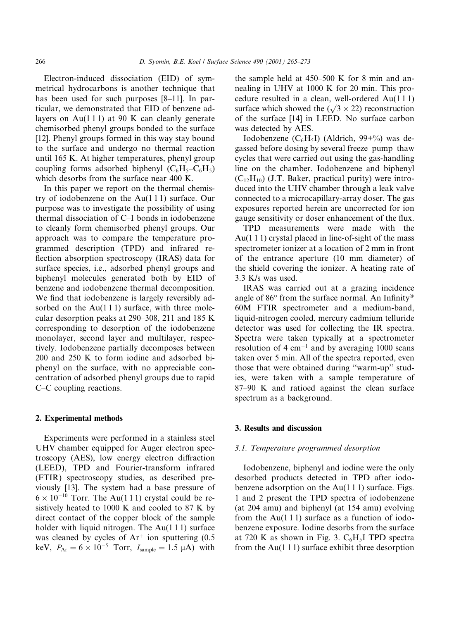Electron-induced dissociation (EID) of symmetrical hydrocarbons is another technique that has been used for such purposes [8-11]. In particular, we demonstrated that EID of benzene adlayers on Au $(111)$  at 90 K can cleanly generate chemisorbed phenyl groups bonded to the surface [12]. Phenyl groups formed in this way stay bound to the surface and undergo no thermal reaction until 165 K. At higher temperatures, phenyl group coupling forms adsorbed biphenyl  $(C_6H_5-C_6H_5)$ which desorbs from the surface near 400 K.

In this paper we report on the thermal chemistry of iodobenzene on the  $Au(111)$  surface. Our purpose was to investigate the possibility of using thermal dissociation of C-I bonds in iodobenzene to cleanly form chemisorbed phenyl groups. Our approach was to compare the temperature programmed description (TPD) and infrared reflection absorption spectroscopy (IRAS) data for surface species, i.e., adsorbed phenyl groups and biphenyl molecules generated both by EID of benzene and iodobenzene thermal decomposition. We find that iodobenzene is largely reversibly adsorbed on the  $Au(111)$  surface, with three molecular desorption peaks at 290–308, 211 and 185 K corresponding to desorption of the iodobenzene monolayer, second layer and multilayer, respectively. Iodobenzene partially decomposes between 200 and 250 K to form iodine and adsorbed biphenyl on the surface, with no appreciable concentration of adsorbed phenyl groups due to rapid C–C coupling reactions.

## 2. Experimental methods

Experiments were performed in a stainless steel UHV chamber equipped for Auger electron spectroscopy (AES), low energy electron diffraction (LEED), TPD and Fourier-transform infrared (FTIR) spectroscopy studies, as described previously [13]. The system had a base pressure of  $6 \times 10^{-10}$  Torr. The Au(111) crystal could be resistively heated to 1000 K and cooled to 87 K by direct contact of the copper block of the sample holder with liquid nitrogen. The  $Au(111)$  surface was cleaned by cycles of  $Ar^+$  ion sputtering (0.5 keV,  $P_{Ar} = 6 \times 10^{-5}$  Torr,  $I_{sample} = 1.5 \mu A$ ) with the sample held at 450–500 K for 8 min and annealing in UHV at 1000 K for 20 min. This procedure resulted in a clean, well-ordered Au(111) surface which showed the  $(\sqrt{3} \times 22)$  reconstruction of the surface [14] in LEED. No surface carbon was detected by AES.

Iodobenzene  $(C_6H_5I)$  (Aldrich, 99+%) was degassed before dosing by several freeze-pump-thaw cycles that were carried out using the gas-handling line on the chamber. Iodobenzene and biphenyl  $(C_{12}H_{10})$  (J.T. Baker, practical purity) were introduced into the UHV chamber through a leak valve connected to a microcapillary-array doser. The gas exposures reported herein are uncorrected for ion gauge sensitivity or doser enhancement of the flux.

TPD measurements were made with the  $Au(111)$  crystal placed in line-of-sight of the mass spectrometer ionizer at a location of 2 mm in front of the entrance aperture (10 mm diameter) of the shield covering the ionizer. A heating rate of 3.3 K/s was used.

IRAS was carried out at a grazing incidence angle of 86° from the surface normal. An Infinity® 60M FTIR spectrometer and a medium-band, liquid-nitrogen cooled, mercury cadmium telluride detector was used for collecting the IR spectra. Spectra were taken typically at a spectrometer resolution of 4  $cm^{-1}$  and by averaging 1000 scans taken over 5 min. All of the spectra reported, even those that were obtained during "warm-up" studies, were taken with a sample temperature of 87–90 K and ratioed against the clean surface spectrum as a background.

## 3. Results and discussion

#### 3.1. Temperature programmed desorption

Iodobenzene, biphenyl and iodine were the only desorbed products detected in TPD after iodobenzene adsorption on the  $Au(111)$  surface. Figs. 1 and 2 present the TPD spectra of iodobenzene (at 204 amu) and biphenyl (at 154 amu) evolving from the  $Au(111)$  surface as a function of iodobenzene exposure. Iodine desorbs from the surface at 720 K as shown in Fig. 3.  $C_6H_5I$  TPD spectra from the Au( $111$ ) surface exhibit three desorption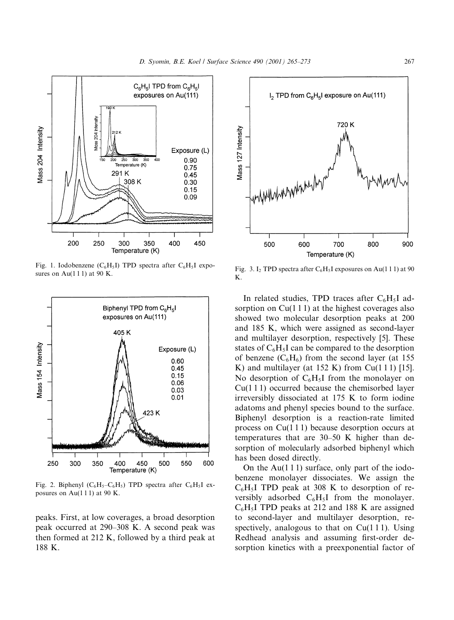

Fig. 1. Iodobenzene ( $C_6H_5I$ ) TPD spectra after  $C_6H_5I$  exposures on Au $(111)$  at 90 K.



Fig. 2. Biphenyl  $(C_6H_5-C_6H_5)$  TPD spectra after  $C_6H_5I$  exposures on Au $(111)$  at 90 K.

peaks. First, at low coverages, a broad desorption peak occurred at 290–308 K. A second peak was then formed at 212 K, followed by a third peak at 188 K.



Fig. 3. I<sub>2</sub> TPD spectra after  $C_6H_5I$  exposures on Au(111) at 90 K.

In related studies, TPD traces after  $C_6H_5I$  adsorption on  $Cu(111)$  at the highest coverages also showed two molecular desorption peaks at 200 and 185 K, which were assigned as second-layer and multilayer desorption, respectively [5]. These states of  $C_6H_5I$  can be compared to the desorption of benzene  $(C_6H_6)$  from the second layer (at 155 K) and multilayer (at  $152$  K) from Cu(111) [15]. No desorption of  $C_6H_5I$  from the monolayer on  $Cu(111)$  occurred because the chemisorbed layer irreversibly dissociated at 175 K to form iodine adatoms and phenyl species bound to the surface. Biphenyl desorption is a reaction-rate limited process on  $Cu(111)$  because desorption occurs at temperatures that are 30–50 K higher than desorption of molecularly adsorbed biphenyl which has been dosed directly.

On the Au( $111$ ) surface, only part of the iodobenzene monolayer dissociates. We assign the  $C_6H_5I$  TPD peak at 308 K to desorption of reversibly adsorbed  $C_6H_5I$  from the monolayer.  $C_6H_5I$  TPD peaks at 212 and 188 K are assigned to second-layer and multilayer desorption, respectively, analogous to that on  $Cu(111)$ . Using Redhead analysis and assuming first-order desorption kinetics with a preexponential factor of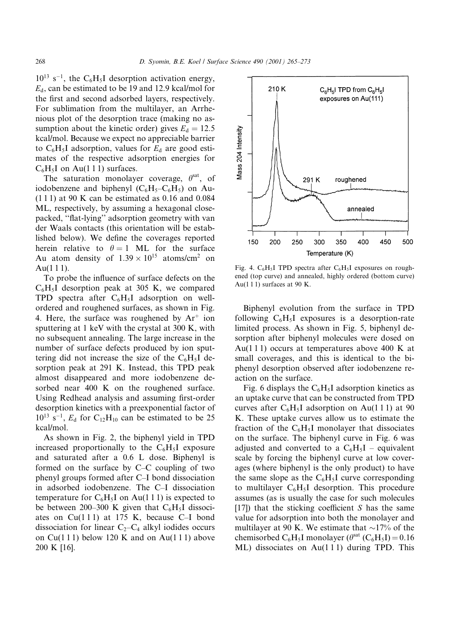$10^{13}$  s<sup>-1</sup>, the C<sub>6</sub>H<sub>5</sub>I desorption activation energy,  $E_d$ , can be estimated to be 19 and 12.9 kcal/mol for the first and second adsorbed layers, respectively. For sublimation from the multilayer, an Arrhenious plot of the desorption trace (making no assumption about the kinetic order) gives  $E_d = 12.5$ kcal/mol. Because we expect no appreciable barrier to  $C_6H_5I$  adsorption, values for  $E_d$  are good estimates of the respective adsorption energies for  $C_6H_5I$  on Au(111) surfaces.

The saturation monolayer coverage,  $\theta^{\text{sat}}$ , of iodobenzene and biphenyl  $(C_6H_5-C_6H_5)$  on Au- $(111)$  at 90 K can be estimated as 0.16 and 0.084 ML, respectively, by assuming a hexagonal closepacked, "flat-lying" adsorption geometry with van der Waals contacts (this orientation will be established below). We define the coverages reported herein relative to  $\theta = 1$  ML for the surface Au atom density of  $1.39 \times 10^{15}$  atoms/cm<sup>2</sup> on  $Au(111)$ .

To probe the influence of surface defects on the  $C_6H_5I$  desorption peak at 305 K, we compared TPD spectra after  $C_6H_5I$  adsorption on wellordered and roughened surfaces, as shown in Fig. 4. Here, the surface was roughened by  $Ar^+$  ion sputtering at 1 keV with the crystal at 300 K, with no subsequent annealing. The large increase in the number of surface defects produced by ion sputtering did not increase the size of the  $C_6H_5I$  desorption peak at 291 K. Instead, this TPD peak almost disappeared and more iodobenzene desorbed near 400 K on the roughened surface. Using Redhead analysis and assuming first-order desorption kinetics with a preexponential factor of  $10^{13}$  s<sup>-1</sup>,  $E_d$  for C<sub>12</sub>H<sub>10</sub> can be estimated to be 25 kcal/mol.

As shown in Fig. 2, the biphenyl yield in TPD increased proportionally to the  $C_6H_5I$  exposure and saturated after a 0.6 L dose. Biphenyl is formed on the surface by C–C coupling of two phenyl groups formed after C-I bond dissociation in adsorbed iodobenzene. The C-I dissociation temperature for  $C_6H_5I$  on Au(111) is expected to be between 200–300 K given that  $C_6H_5I$  dissociates on  $Cu(111)$  at 175 K, because C-I bond dissociation for linear  $C_2-C_4$  alkyl iodides occurs on Cu(111) below 120 K and on Au(111) above 200 K [16].



Fig. 4.  $C_6H_5I$  TPD spectra after  $C_6H_5I$  exposures on roughened (top curve) and annealed, highly ordered (bottom curve) Au $(111)$  surfaces at 90 K.

Biphenyl evolution from the surface in TPD following  $C_6H_5I$  exposures is a desorption-rate limited process. As shown in Fig. 5, biphenyl desorption after biphenyl molecules were dosed on Au(111) occurs at temperatures above 400 K at small coverages, and this is identical to the biphenyl desorption observed after iodobenzene reaction on the surface.

Fig. 6 displays the  $C_6H_5I$  adsorption kinetics as an uptake curve that can be constructed from TPD curves after  $C_6H_5I$  adsorption on Au(111) at 90 K. These uptake curves allow us to estimate the fraction of the  $C_6H_5I$  monolayer that dissociates on the surface. The biphenyl curve in Fig. 6 was adjusted and converted to a  $C_6H_5I$  – equivalent scale by forcing the biphenyl curve at low coverages (where biphenyl is the only product) to have the same slope as the  $C_6H_5I$  curve corresponding to multilayer  $C_6H_5I$  desorption. This procedure assumes (as is usually the case for such molecules  $[17]$ ) that the sticking coefficient S has the same value for adsorption into both the monolayer and multilayer at 90 K. We estimate that  $\sim$ 17% of the chemisorbed C<sub>6</sub>H<sub>5</sub>I monolayer ( $\theta^{\text{sat}}$  (C<sub>6</sub>H<sub>5</sub>I) = 0.16  $ML$ ) dissociates on Au(111) during TPD. This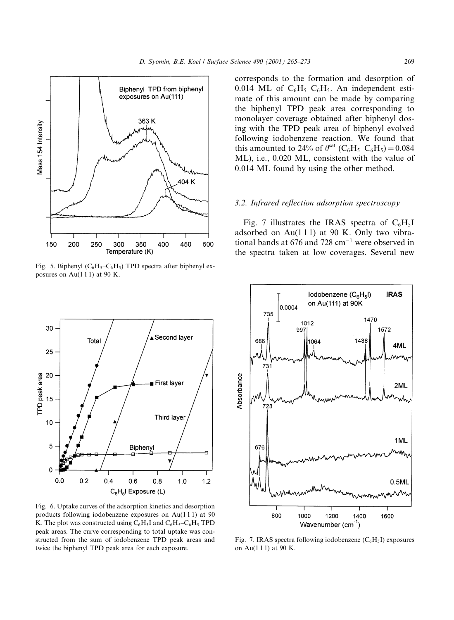

Fig. 5. Biphenyl ( $C_6H_5-C_6H_5$ ) TPD spectra after biphenyl exposures on Au $(111)$  at 90 K.



Fig. 6. Uptake curves of the adsorption kinetics and desorption products following iodobenzene exposures on Au(111) at 90 K. The plot was constructed using  $C_6H_5I$  and  $C_6H_5-C_6H_5$  TPD peak areas. The curve corresponding to total uptake was constructed from the sum of iodobenzene TPD peak areas and twice the biphenyl TPD peak area for each exposure.

corresponds to the formation and desorption of 0.014 ML of  $C_6H_5-C_6H_5$ . An independent estimate of this amount can be made by comparing the biphenyl TPD peak area corresponding to monolayer coverage obtained after biphenyl dosing with the TPD peak area of biphenyl evolved following iodobenzene reaction. We found that this amounted to 24% of  $\theta^{sat}$  (C<sub>6</sub>H<sub>5</sub>-C<sub>6</sub>H<sub>5</sub>) = 0.084 ML), i.e., 0.020 ML, consistent with the value of 0.014 ML found by using the other method.

# 3.2. Infrared reflection adsorption spectroscopy

Fig. 7 illustrates the IRAS spectra of  $C_6H_5I$ adsorbed on Au $(111)$  at 90 K. Only two vibrational bands at 676 and 728  $cm^{-1}$  were observed in the spectra taken at low coverages. Several new



Fig. 7. IRAS spectra following iodobenzene  $(C_6H_5I)$  exposures on Au(111) at 90 K.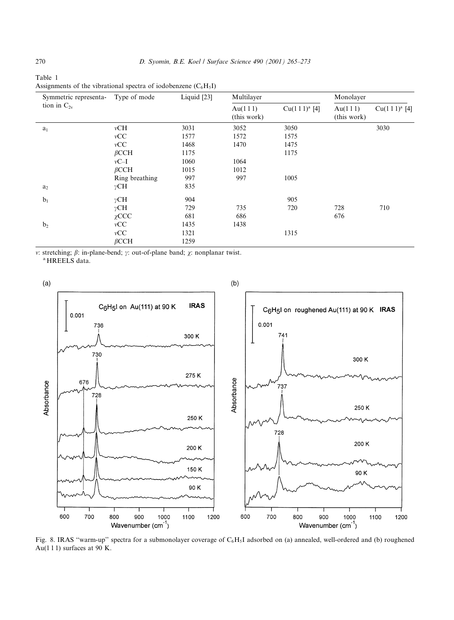| Symmetric representa- | Type of mode   | Liquid [23] | Multilayer             |                          | Monolayer              |                          |
|-----------------------|----------------|-------------|------------------------|--------------------------|------------------------|--------------------------|
| tion in $C_{2v}$      |                |             | Au(111)<br>(this work) | Cu(111) <sup>a</sup> [4] | Au(111)<br>(this work) | Cu(111) <sup>a</sup> [4] |
| a <sub>1</sub>        | vCH            | 3031        | 3052                   | 3050                     |                        | 3030                     |
|                       | vCC            | 1577        | 1572                   | 1575                     |                        |                          |
|                       | vCC            | 1468        | 1470                   | 1475                     |                        |                          |
|                       | $\beta$ CCH    | 1175        |                        | 1175                     |                        |                          |
|                       | $vC-I$         | 1060        | 1064                   |                          |                        |                          |
|                       | $\beta$ CCH    | 1015        | 1012                   |                          |                        |                          |
|                       | Ring breathing | 997         | 997                    | 1005                     |                        |                          |
| a <sub>2</sub>        | $\gamma$ CH    | 835         |                        |                          |                        |                          |
| b <sub>1</sub>        | $\gamma$ CH    | 904         |                        | 905                      |                        |                          |
|                       | $\gamma$ CH    | 729         | 735                    | 720                      | 728                    | 710                      |
|                       | $\chi$ CCC     | 681         | 686                    |                          | 676                    |                          |
| b <sub>2</sub>        | vCC            | 1435        | 1438                   |                          |                        |                          |
|                       | vCC            | 1321        |                        | 1315                     |                        |                          |
|                       | $\beta$ CCH    | 1259        |                        |                          |                        |                          |

Table 1 Assignments of the vibrational spectra of iodobenzene  $(C_6H_5I)$ 

v: stretching;  $\beta$ : in-plane-bend;  $\gamma$ : out-of-plane band;  $\gamma$ : nonplanar twist. <sup>a</sup> HREELS data.



Fig. 8. IRAS "warm-up" spectra for a submonolayer coverage of  $C_6H_5I$  adsorbed on (a) annealed, well-ordered and (b) roughened Au(111) surfaces at 90 K.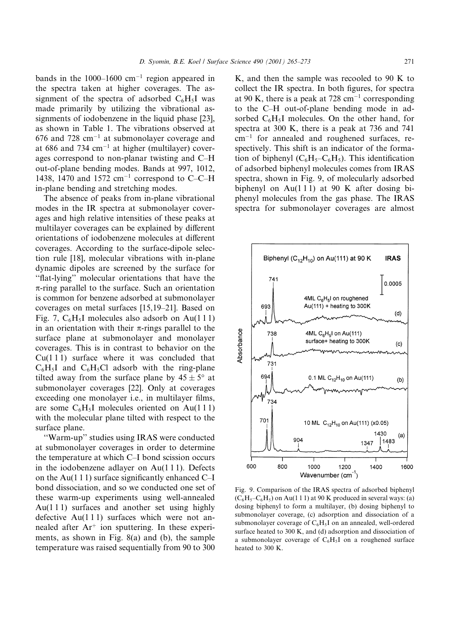bands in the  $1000-1600$  cm<sup>-1</sup> region appeared in the spectra taken at higher coverages. The assignment of the spectra of adsorbed  $C_6H_5I$  was made primarily by utilizing the vibrational assignments of iodobenzene in the liquid phase [23]. as shown in Table 1. The vibrations observed at  $676$  and  $728$  cm<sup>-1</sup> at submonolayer coverage and at 686 and 734  $cm^{-1}$  at higher (multilayer) coverages correspond to non-planar twisting and C-H out-of-plane bending modes. Bands at 997, 1012, 1438, 1470 and 1572 cm<sup>-1</sup> correspond to C-C-H in-plane bending and stretching modes.

The absence of peaks from in-plane vibrational modes in the IR spectra at submonolayer coverages and high relative intensities of these peaks at multilayer coverages can be explained by different orientations of iodobenzene molecules at different coverages. According to the surface-dipole selection rule [18], molecular vibrations with in-plane dynamic dipoles are screened by the surface for "flat-lying" molecular orientations that have the  $\pi$ -ring parallel to the surface. Such an orientation is common for benzene adsorbed at submonolayer coverages on metal surfaces [15,19–21]. Based on Fig. 7,  $C_6H_5I$  molecules also adsorb on Au(111) in an orientation with their  $\pi$ -rings parallel to the surface plane at submonolayer and monolayer coverages. This is in contrast to behavior on the  $Cu(111)$  surface where it was concluded that  $C_6H_5I$  and  $C_6H_5Cl$  adsorb with the ring-plane tilted away from the surface plane by  $45 \pm 5^{\circ}$  at submonolayer coverages [22]. Only at coverages exceeding one monolayer i.e., in multilayer films, are some  $C_6H_5I$  molecules oriented on Au(111) with the molecular plane tilted with respect to the surface plane.

"Warm-up" studies using IRAS were conducted at submonolayer coverages in order to determine the temperature at which C-I bond scission occurs in the iodobenzene adlayer on  $Au(111)$ . Defects on the Au(1 1 1) surface significantly enhanced C-I bond dissociation, and so we conducted one set of these warm-up experiments using well-annealed  $Au(111)$  surfaces and another set using highly defective  $Au(111)$  surfaces which were not annealed after  $Ar^+$  ion sputtering. In these experiments, as shown in Fig.  $8(a)$  and (b), the sample temperature was raised sequentially from 90 to 300

K, and then the sample was recooled to 90 K to collect the IR spectra. In both figures, for spectra at 90 K, there is a peak at 728 cm<sup>-1</sup> corresponding to the C-H out-of-plane bending mode in adsorbed  $C_6H_5I$  molecules. On the other hand, for spectra at 300 K, there is a peak at 736 and 741  $cm^{-1}$  for annealed and roughened surfaces, respectively. This shift is an indicator of the formation of biphenyl  $(C_6H_5-C_6H_5)$ . This identification of adsorbed biphenyl molecules comes from IRAS spectra, shown in Fig. 9, of molecularly adsorbed biphenyl on Au $(111)$  at 90 K after dosing biphenyl molecules from the gas phase. The IRAS spectra for submonolayer coverages are almost



Fig. 9. Comparison of the IRAS spectra of adsorbed biphenyl  $(C_6H_5-C_6H_5)$  on Au(1 1 1) at 90 K produced in several ways: (a) dosing biphenyl to form a multilayer, (b) dosing biphenyl to submonolayer coverage, (c) adsorption and dissociation of a submonolayer coverage of  $C_6H_5I$  on an annealed, well-ordered surface heated to 300 K, and (d) adsorption and dissociation of a submonolayer coverage of  $C_6H_5I$  on a roughened surface heated to 300 K.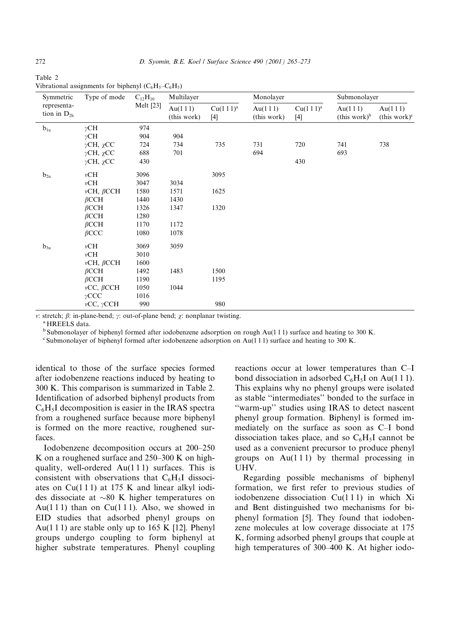| Table 2 |  |                                                        |
|---------|--|--------------------------------------------------------|
|         |  | Vibrational assignments for biphenyl $(C_6H_5-C_6H_5)$ |

| Symmetric                       | Type of mode             | $C_{12}H_{10}$<br>Melt [23] | Multilayer             |                               | Monolayer              |                               | Submonolayer                        |                                     |
|---------------------------------|--------------------------|-----------------------------|------------------------|-------------------------------|------------------------|-------------------------------|-------------------------------------|-------------------------------------|
| representa-<br>tion in $D_{2h}$ |                          |                             | Au(111)<br>(this work) | Cu(111) <sup>a</sup><br>$[4]$ | Au(111)<br>(this work) | Cu(111) <sup>a</sup><br>$[4]$ | Au(111)<br>(this work) <sup>b</sup> | Au(111)<br>(this work) <sup>c</sup> |
| $b_{1u}$                        | $\gamma$ CH              | 974                         |                        |                               |                        |                               |                                     |                                     |
|                                 | $\gamma$ CH              | 904                         | 904                    |                               |                        |                               |                                     |                                     |
|                                 | $\gamma$ CH, $\gamma$ CC | 724                         | 734                    | 735                           | 731                    | 720                           | 741                                 | 738                                 |
|                                 | $\gamma$ CH, $\gamma$ CC | 688                         | 701                    |                               | 694                    |                               | 693                                 |                                     |
|                                 | $\gamma$ CH, $\chi$ CC   | 430                         |                        |                               |                        | 430                           |                                     |                                     |
| $b_{2u}$                        | vCH                      | 3096                        |                        | 3095                          |                        |                               |                                     |                                     |
|                                 | vCH                      | 3047                        | 3034                   |                               |                        |                               |                                     |                                     |
|                                 | $\nu$ CH, $\beta$ CCH    | 1580                        | 1571                   | 1625                          |                        |                               |                                     |                                     |
|                                 | $\beta$ CCH              | 1440                        | 1430                   |                               |                        |                               |                                     |                                     |
|                                 | $\beta$ CCH              | 1326                        | 1347                   | 1320                          |                        |                               |                                     |                                     |
|                                 | $\beta$ CCH              | 1280                        |                        |                               |                        |                               |                                     |                                     |
|                                 | $\beta$ CCH              | 1170                        | 1172                   |                               |                        |                               |                                     |                                     |
|                                 | $\beta$ CCC              | 1080                        | 1078                   |                               |                        |                               |                                     |                                     |
| $b_{3u}$                        | vCH                      | 3069                        | 3059                   |                               |                        |                               |                                     |                                     |
|                                 | vCH                      | 3010                        |                        |                               |                        |                               |                                     |                                     |
|                                 | $\nu$ CH, $\beta$ CCH    | 1600                        |                        |                               |                        |                               |                                     |                                     |
|                                 | $\beta$ CCH              | 1492                        | 1483                   | 1500                          |                        |                               |                                     |                                     |
|                                 | $\beta$ CCH              | 1190                        |                        | 1195                          |                        |                               |                                     |                                     |
|                                 | $\nu CC, \beta CCH$      | 1050                        | 1044                   |                               |                        |                               |                                     |                                     |
|                                 | $\gamma$ CCC             | 1016                        |                        |                               |                        |                               |                                     |                                     |
|                                 | $\nu CC, \gamma CCH$     | 990                         |                        | 980                           |                        |                               |                                     |                                     |

v: stretch;  $\beta$ : in-plane-bend;  $\gamma$ : out-of-plane bend;  $\chi$ : nonplanar twisting.

<sup>a</sup> HREELS data.

 $<sup>b</sup>$  Submonolayer of biphenyl formed after iodobenzene adsorption on rough Au(111) surface and heating to 300 K.</sup>

<sup>c</sup> Submonolayer of biphenyl formed after iodobenzene adsorption on Au(111) surface and heating to 300 K.

identical to those of the surface species formed after iodobenzene reactions induced by heating to 300 K. This comparison is summarized in Table 2. Identification of adsorbed biphenyl products from  $C_6H_5I$  decomposition is easier in the IRAS spectra from a roughened surface because more biphenyl is formed on the more reactive, roughened surfaces.

Iodobenzene decomposition occurs at 200–250 K on a roughened surface and 250–300 K on highquality, well-ordered  $Au(111)$  surfaces. This is consistent with observations that  $C_6H_5I$  dissociates on  $Cu(111)$  at 175 K and linear alkyl iodides dissociate at  $\sim 80$  K higher temperatures on Au(111) than on Cu(111). Also, we showed in EID studies that adsorbed phenyl groups on Au(111) are stable only up to 165 K [12]. Phenyl groups undergo coupling to form biphenyl at higher substrate temperatures. Phenyl coupling reactions occur at lower temperatures than C-I bond dissociation in adsorbed  $C_6H_5I$  on Au(111). This explains why no phenyl groups were isolated as stable "intermediates" bonded to the surface in "warm-up" studies using IRAS to detect nascent phenyl group formation. Biphenyl is formed immediately on the surface as soon as C-I bond dissociation takes place, and so  $C_6H_5I$  cannot be used as a convenient precursor to produce phenyl groups on  $Au(111)$  by thermal processing in UHV.

Regarding possible mechanisms of biphenyl formation, we first refer to previous studies of iodobenzene dissociation Cu(111) in which Xi and Bent distinguished two mechanisms for biphenyl formation [5]. They found that iodobenzene molecules at low coverage dissociate at 175 K, forming adsorbed phenyl groups that couple at high temperatures of 300–400 K. At higher iodo